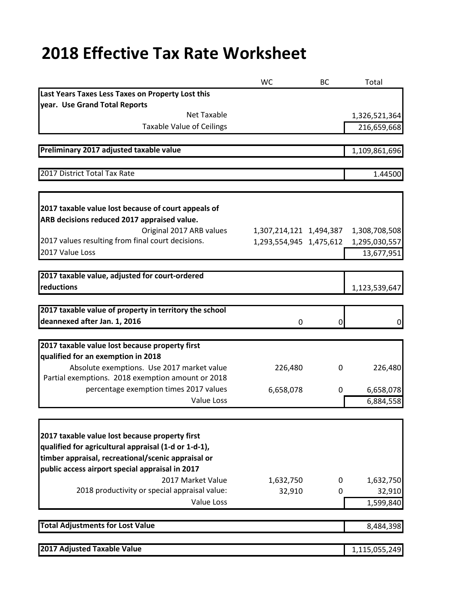## **2018 Effective Tax Rate Worksheet**

|                                                        | <b>WC</b>               | <b>BC</b> | Total         |
|--------------------------------------------------------|-------------------------|-----------|---------------|
| Last Years Taxes Less Taxes on Property Lost this      |                         |           |               |
| year. Use Grand Total Reports                          |                         |           |               |
| <b>Net Taxable</b>                                     |                         |           | 1,326,521,364 |
| <b>Taxable Value of Ceilings</b>                       |                         |           | 216,659,668   |
|                                                        |                         |           |               |
| Preliminary 2017 adjusted taxable value                |                         |           | 1,109,861,696 |
|                                                        |                         |           |               |
| 2017 District Total Tax Rate                           |                         |           | 1.44500       |
|                                                        |                         |           |               |
| 2017 taxable value lost because of court appeals of    |                         |           |               |
| ARB decisions reduced 2017 appraised value.            |                         |           |               |
| Original 2017 ARB values                               | 1,307,214,121 1,494,387 |           | 1,308,708,508 |
| 2017 values resulting from final court decisions.      | 1,293,554,945 1,475,612 |           | 1,295,030,557 |
| 2017 Value Loss                                        |                         |           | 13,677,951    |
|                                                        |                         |           |               |
| 2017 taxable value, adjusted for court-ordered         |                         |           |               |
| reductions                                             |                         |           | 1,123,539,647 |
|                                                        |                         |           |               |
| 2017 taxable value of property in territory the school |                         |           |               |
| deannexed after Jan. 1, 2016                           | 0                       | 0         | 0             |
| 2017 taxable value lost because property first         |                         |           |               |
| qualified for an exemption in 2018                     |                         |           |               |
| Absolute exemptions. Use 2017 market value             | 226,480                 | 0         | 226,480       |
| Partial exemptions. 2018 exemption amount or 2018      |                         |           |               |
| percentage exemption times 2017 values                 | 6,658,078               | 0         | 6,658,078     |
| <b>Value Loss</b>                                      |                         |           | 6,884,558     |
|                                                        |                         |           |               |
|                                                        |                         |           |               |
| 2017 taxable value lost because property first         |                         |           |               |
| qualified for agricultural appraisal (1-d or 1-d-1),   |                         |           |               |
| timber appraisal, recreational/scenic appraisal or     |                         |           |               |
| public access airport special appraisal in 2017        |                         |           |               |
| 2017 Market Value                                      | 1,632,750               | 0         | 1,632,750     |
| 2018 productivity or special appraisal value:          | 32,910                  | 0         | 32,910        |
| Value Loss                                             |                         |           | 1,599,840     |
| <b>Total Adjustments for Lost Value</b>                |                         |           | 8,484,398     |
|                                                        |                         |           |               |
| 2017 Adjusted Taxable Value                            |                         |           | 1,115,055,249 |
|                                                        |                         |           |               |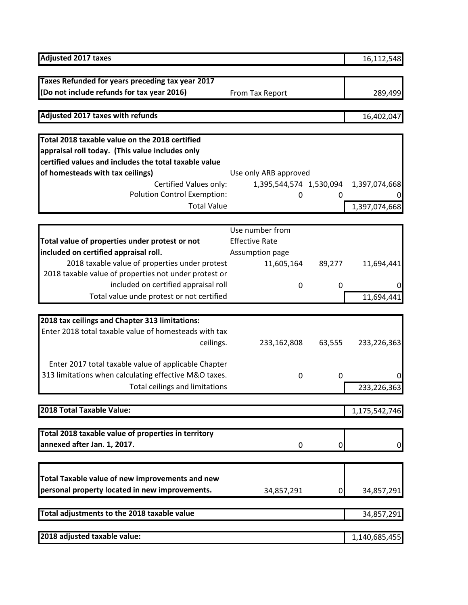| <b>Adjusted 2017 taxes</b>                            |                         |        | 16,112,548    |
|-------------------------------------------------------|-------------------------|--------|---------------|
| Taxes Refunded for years preceding tax year 2017      |                         |        |               |
| (Do not include refunds for tax year 2016)            | From Tax Report         |        | 289,499       |
|                                                       |                         |        |               |
| Adjusted 2017 taxes with refunds                      |                         |        | 16,402,047    |
|                                                       |                         |        |               |
| Total 2018 taxable value on the 2018 certified        |                         |        |               |
| appraisal roll today. (This value includes only       |                         |        |               |
| certified values and includes the total taxable value |                         |        |               |
| of homesteads with tax ceilings)                      | Use only ARB approved   |        |               |
| Certified Values only:                                | 1,395,544,574 1,530,094 |        | 1,397,074,668 |
| <b>Polution Control Exemption:</b>                    | 0                       | 0      |               |
| <b>Total Value</b>                                    |                         |        | 1,397,074,668 |
|                                                       | Use number from         |        |               |
| Total value of properties under protest or not        | <b>Effective Rate</b>   |        |               |
| included on certified appraisal roll.                 | Assumption page         |        |               |
| 2018 taxable value of properties under protest        | 11,605,164              | 89,277 | 11,694,441    |
| 2018 taxable value of properties not under protest or |                         |        |               |
| included on certified appraisal roll                  | 0                       | 0      | O             |
| Total value unde protest or not certified             |                         |        | 11,694,441    |
|                                                       |                         |        |               |
| 2018 tax ceilings and Chapter 313 limitations:        |                         |        |               |
| Enter 2018 total taxable value of homesteads with tax |                         |        |               |
| ceilings.                                             | 233,162,808             | 63,555 | 233,226,363   |
|                                                       |                         |        |               |
| Enter 2017 total taxable value of applicable Chapter  |                         |        |               |
| 313 limitations when calculating effective M&O taxes. | 0                       | 0      | 0             |
| Total ceilings and limitations                        |                         |        | 233,226,363   |
|                                                       |                         |        |               |
| 2018 Total Taxable Value:                             |                         |        | 1,175,542,746 |
|                                                       |                         |        |               |
| Total 2018 taxable value of properties in territory   |                         |        |               |
| annexed after Jan. 1, 2017.                           | 0                       | 0      | 0             |
|                                                       |                         |        |               |
| Total Taxable value of new improvements and new       |                         |        |               |
| personal property located in new improvements.        | 34,857,291              | 0      | 34,857,291    |
|                                                       |                         |        |               |
| Total adjustments to the 2018 taxable value           |                         |        | 34,857,291    |
| 2018 adjusted taxable value:                          |                         |        | 1,140,685,455 |
|                                                       |                         |        |               |